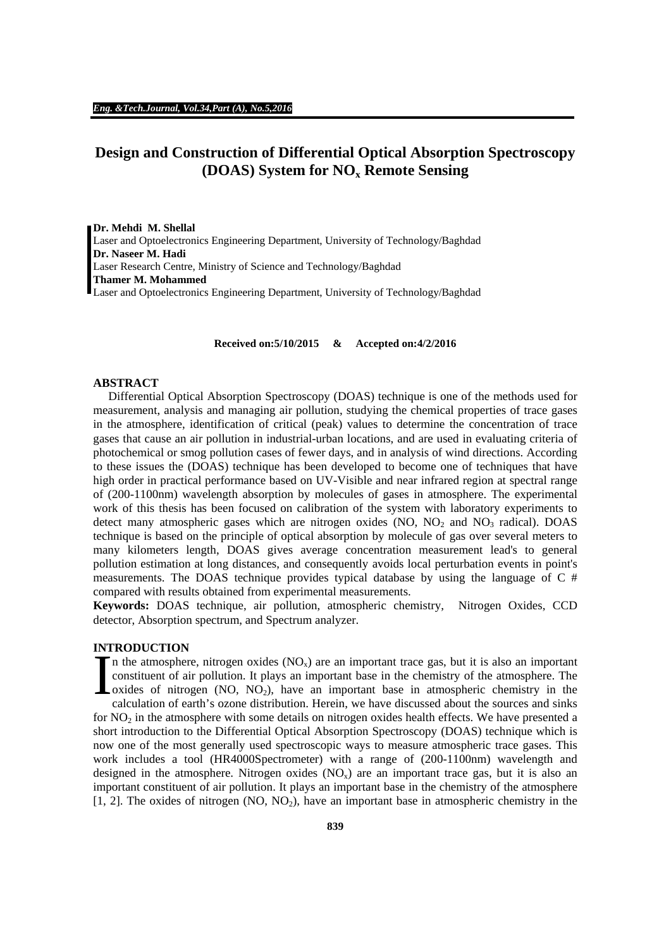# **Design and Construction of Differential Optical Absorption Spectroscopy (DOAS) System for NOx Remote Sensing**

**Dr. Mehdi M. Shellal** Laser and Optoelectronics Engineering Department, University of Technology/Baghdad **Dr. Naseer M. Hadi**  Laser Research Centre, Ministry of Science and Technology/Baghdad **Thamer M. Mohammed**  Laser and Optoelectronics Engineering Department, University of Technology/Baghdad

**Received on:5/10/2015 & Accepted on:4/2/2016**

## **ABSTRACT**

 Differential Optical Absorption Spectroscopy (DOAS) technique is one of the methods used for measurement, analysis and managing air pollution, studying the chemical properties of trace gases in the atmosphere, identification of critical (peak) values to determine the concentration of trace gases that cause an air pollution in industrial-urban locations, and are used in evaluating criteria of photochemical or smog pollution cases of fewer days, and in analysis of wind directions. According to these issues the (DOAS) technique has been developed to become one of techniques that have high order in practical performance based on UV-Visible and near infrared region at spectral range of (200-1100nm) wavelength absorption by molecules of gases in atmosphere. The experimental work of this thesis has been focused on calibration of the system with laboratory experiments to detect many atmospheric gases which are nitrogen oxides (NO,  $NO<sub>2</sub>$  and  $NO<sub>3</sub>$  radical). DOAS technique is based on the principle of optical absorption by molecule of gas over several meters to many kilometers length, DOAS gives average concentration measurement lead's to general pollution estimation at long distances, and consequently avoids local perturbation events in point's measurements. The DOAS technique provides typical database by using the language of  $C \#$ compared with results obtained from experimental measurements.

**Keywords:** DOAS technique, air pollution, atmospheric chemistry, Nitrogen Oxides, CCD detector, Absorption spectrum, and Spectrum analyzer.

# **INTRODUCTION**

In the atmosphere, nitrogen oxides  $(NO_x)$  are an important trace gas, but it is also an important constituent of air pollution. It plays an important base in the chemistry of the atmosphere. The  $\alpha$  oxides of nitrogen (NO, NO<sub>2</sub>), have an important base in atmospheric chemistry in the calculation of earth's ozone distribution. Herein, we have discussed about the sources and sinks for  $NO<sub>2</sub>$  in the atmosphere with some details on nitrogen oxides health effects. We have presented a short introduction to the Differential Optical Absorption Spectroscopy (DOAS) technique which is now one of the most generally used spectroscopic ways to measure atmospheric trace gases. This work includes a tool (HR4000Spectrometer) with a range of (200-1100nm) wavelength and designed in the atmosphere. Nitrogen oxides  $(NO_x)$  are an important trace gas, but it is also an important constituent of air pollution. It plays an important base in the chemistry of the atmosphere [1, 2]. The oxides of nitrogen (NO, NO2), have an important base in atmospheric chemistry in the I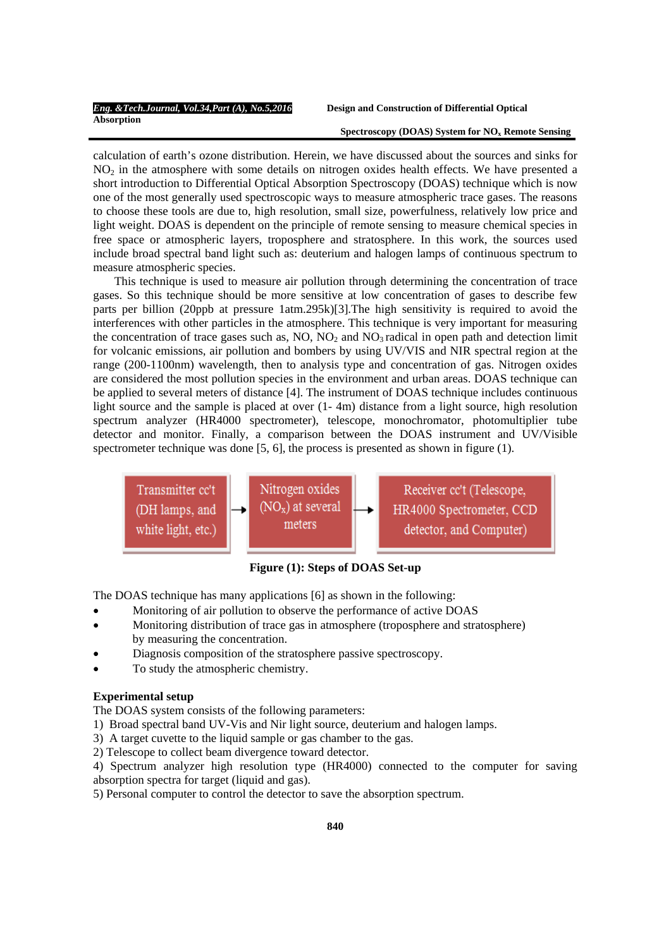#### Spectroscopy (DOAS) System for NO<sub>x</sub> Remote Sensing

calculation of earth's ozone distribution. Herein, we have discussed about the sources and sinks for  $NO<sub>2</sub>$  in the atmosphere with some details on nitrogen oxides health effects. We have presented a short introduction to Differential Optical Absorption Spectroscopy (DOAS) technique which is now one of the most generally used spectroscopic ways to measure atmospheric trace gases. The reasons to choose these tools are due to, high resolution, small size, powerfulness, relatively low price and light weight. DOAS is dependent on the principle of remote sensing to measure chemical species in free space or atmospheric layers, troposphere and stratosphere. In this work, the sources used include broad spectral band light such as: deuterium and halogen lamps of continuous spectrum to measure atmospheric species.

 This technique is used to measure air pollution through determining the concentration of trace gases. So this technique should be more sensitive at low concentration of gases to describe few parts per billion (20ppb at pressure 1atm.295k)[3].The high sensitivity is required to avoid the interferences with other particles in the atmosphere. This technique is very important for measuring the concentration of trace gases such as,  $NO$ ,  $NO<sub>2</sub>$  and  $NO<sub>3</sub>$  radical in open path and detection limit for volcanic emissions, air pollution and bombers by using UV/VIS and NIR spectral region at the range (200-1100nm) wavelength, then to analysis type and concentration of gas. Nitrogen oxides are considered the most pollution species in the environment and urban areas. DOAS technique can be applied to several meters of distance [4]. The instrument of DOAS technique includes continuous light source and the sample is placed at over  $(1 - 4m)$  distance from a light source, high resolution spectrum analyzer (HR4000 spectrometer), telescope, monochromator, photomultiplier tube detector and monitor. Finally, a comparison between the DOAS instrument and UV/Visible spectrometer technique was done [5, 6], the process is presented as shown in figure (1).



 **Figure (1): Steps of DOAS Set-up** 

The DOAS technique has many applications [6] as shown in the following:

- Monitoring of air pollution to observe the performance of active DOAS
- Monitoring distribution of trace gas in atmosphere (troposphere and stratosphere) by measuring the concentration.
- Diagnosis composition of the stratosphere passive spectroscopy.
- To study the atmospheric chemistry.

## **Experimental setup**

The DOAS system consists of the following parameters:

- 1) Broad spectral band UV-Vis and Nir light source, deuterium and halogen lamps.
- 3) A target cuvette to the liquid sample or gas chamber to the gas.
- 2) Telescope to collect beam divergence toward detector.

4) Spectrum analyzer high resolution type (HR4000) connected to the computer for saving absorption spectra for target (liquid and gas).

5) Personal computer to control the detector to save the absorption spectrum.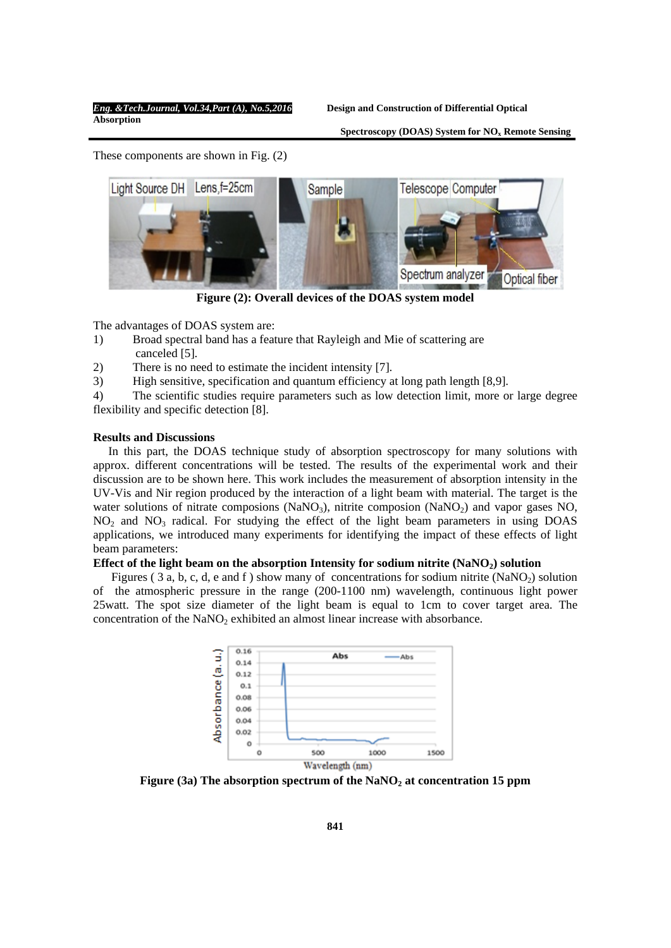Spectroscopy (DOAS) System for NO<sub>x</sub> Remote Sensing

These components are shown in Fig. (2)



**Figure (2): Overall devices of the DOAS system model** 

The advantages of DOAS system are:

- 1) Broad spectral band has a feature that Rayleigh and Mie of scattering are canceled [5].
- 2) There is no need to estimate the incident intensity [7].
- 3) High sensitive, specification and quantum efficiency at long path length [8,9].

4) The scientific studies require parameters such as low detection limit, more or large degree flexibility and specific detection [8].

# **Results and Discussions**

 In this part, the DOAS technique study of absorption spectroscopy for many solutions with approx. different concentrations will be tested. The results of the experimental work and their discussion are to be shown here. This work includes the measurement of absorption intensity in the UV-Vis and Nir region produced by the interaction of a light beam with material. The target is the water solutions of nitrate composions ( $NaNO<sub>3</sub>$ ), nitrite composion ( $NaNO<sub>2</sub>$ ) and vapor gases NO,  $NO<sub>2</sub>$  and  $NO<sub>3</sub>$  radical. For studying the effect of the light beam parameters in using DOAS applications, we introduced many experiments for identifying the impact of these effects of light beam parameters:

# **Effect of the light beam on the absorption Intensity for sodium nitrite (NaNO2) solution**

Figures (3 a, b, c, d, e and f) show many of concentrations for sodium nitrite  $(NaNO<sub>2</sub>)$  solution of the atmospheric pressure in the range (200-1100 nm) wavelength, continuous light power 25watt. The spot size diameter of the light beam is equal to 1cm to cover target area. The concentration of the NaNO<sub>2</sub> exhibited an almost linear increase with absorbance.



Figure (3a) The absorption spectrum of the NaNO<sub>2</sub> at concentration 15 ppm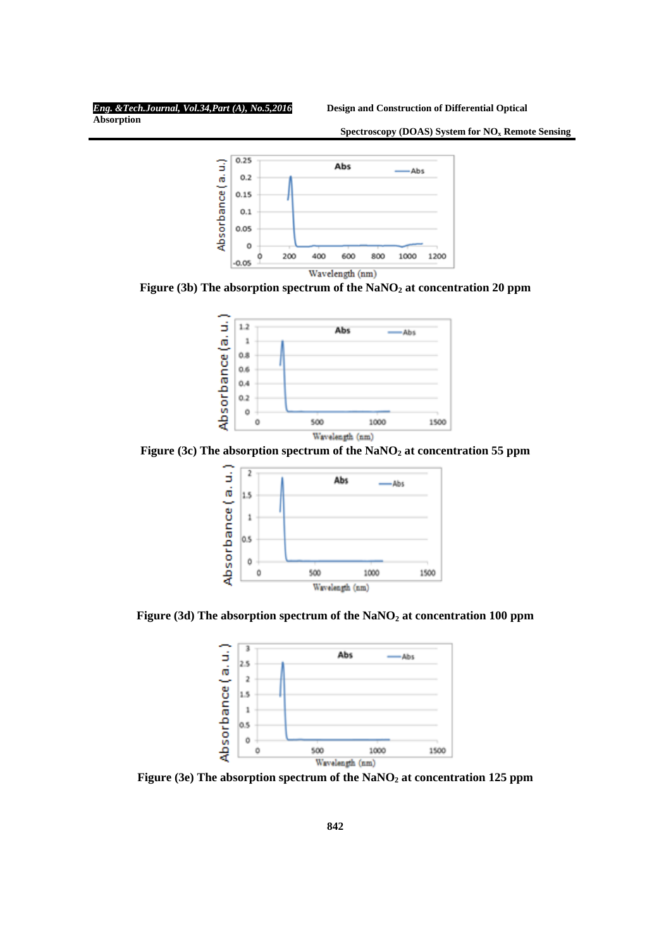**Absorption** 

 **Spectroscopy (DOAS) System for NOx Remote Sensing**



Figure (3b) The absorption spectrum of the NaNO<sub>2</sub> at concentration 20 ppm



Figure (3c) The absorption spectrum of the NaNO<sub>2</sub> at concentration 55 ppm



Figure (3d) The absorption spectrum of the NaNO<sub>2</sub> at concentration 100 ppm



Figure (3e) The absorption spectrum of the NaNO<sub>2</sub> at concentration 125 ppm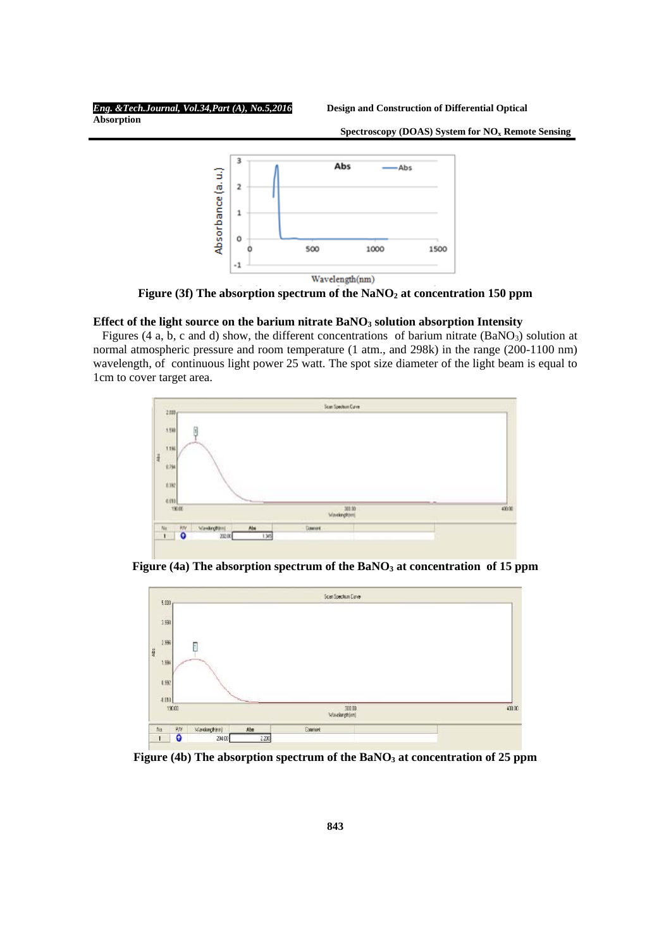**Absorption** 

 **Spectroscopy (DOAS) System for NOx Remote Sensing**



Figure (3f) The absorption spectrum of the NaNO<sub>2</sub> at concentration 150 ppm

# Effect of the light source on the barium nitrate BaNO<sub>3</sub> solution absorption Intensity

Figures (4 a, b, c and d) show, the different concentrations of barium nitrate (BaNO<sub>3</sub>) solution at normal atmospheric pressure and room temperature (1 atm., and 298k) in the range (200-1100 nm) wavelength, of continuous light power 25 watt. The spot size diameter of the light beam is equal to 1cm to cover target area.



Figure (4a) The absorption spectrum of the BaNO<sub>3</sub> at concentration of 15 ppm



Figure (4b) The absorption spectrum of the BaNO<sub>3</sub> at concentration of 25 ppm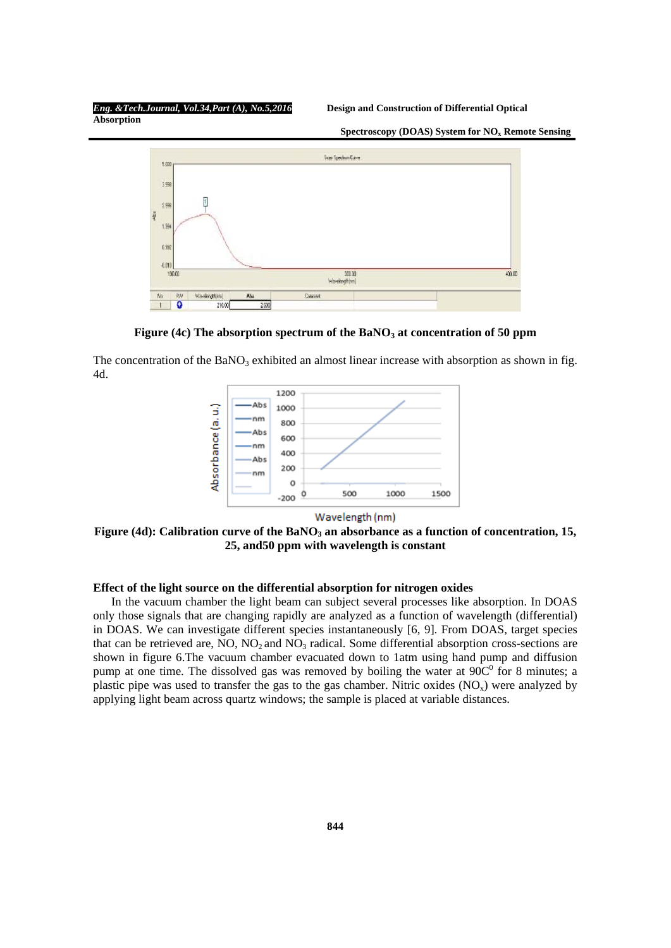**Absorption** 

 **Spectroscopy (DOAS) System for NOx Remote Sensing**



Figure (4c) The absorption spectrum of the BaNO<sub>3</sub> at concentration of 50 ppm

The concentration of the  $BaNO<sub>3</sub>$  exhibited an almost linear increase with absorption as shown in fig. 4d.



Wavelength (nm)

Figure (4d): Calibration curve of the BaNO<sub>3</sub> an absorbance as a function of concentration, 15, **25, and50 ppm with wavelength is constant** 

# **Effect of the light source on the differential absorption for nitrogen oxides**

 In the vacuum chamber the light beam can subject several processes like absorption. In DOAS only those signals that are changing rapidly are analyzed as a function of wavelength (differential) in DOAS. We can investigate different species instantaneously [6, 9]. From DOAS, target species that can be retrieved are,  $NO$ ,  $NO<sub>2</sub>$  and  $NO<sub>3</sub>$  radical. Some differential absorption cross-sections are shown in figure 6.The vacuum chamber evacuated down to 1atm using hand pump and diffusion pump at one time. The dissolved gas was removed by boiling the water at  $90C<sup>0</sup>$  for 8 minutes; a plastic pipe was used to transfer the gas to the gas chamber. Nitric oxides  $(NO_x)$  were analyzed by applying light beam across quartz windows; the sample is placed at variable distances.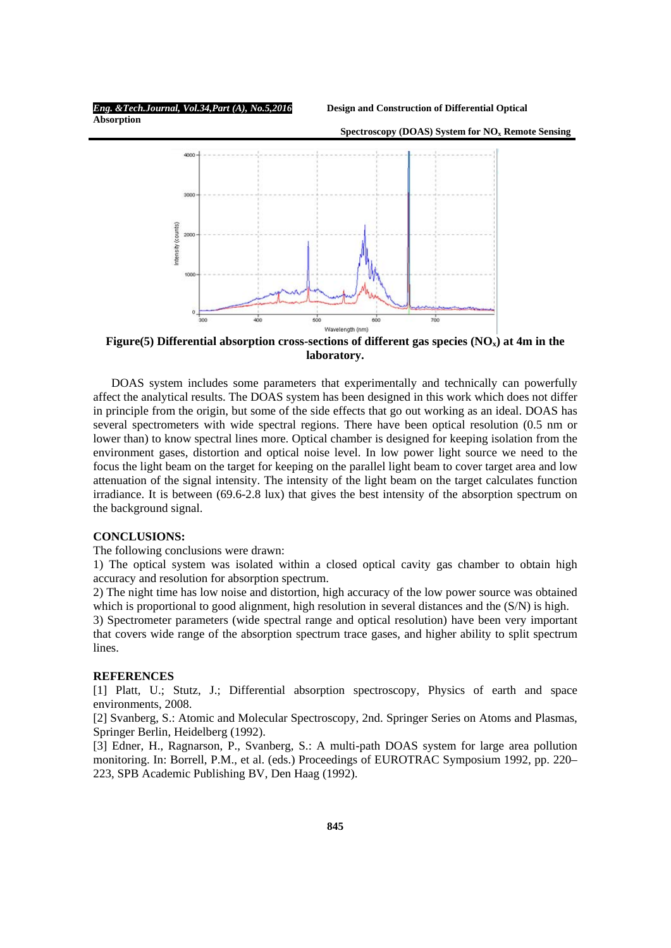**Spectroscopy (DOAS) System for NO<sub>x</sub> Remote Sensing** 

**Absorption** 



Figure(5) Differential absorption cross-sections of different gas species (NO<sub>x</sub>) at 4m in the **laboratory.** 

 DOAS system includes some parameters that experimentally and technically can powerfully affect the analytical results. The DOAS system has been designed in this work which does not differ in principle from the origin, but some of the side effects that go out working as an ideal. DOAS has several spectrometers with wide spectral regions. There have been optical resolution (0.5 nm or lower than) to know spectral lines more. Optical chamber is designed for keeping isolation from the environment gases, distortion and optical noise level. In low power light source we need to the focus the light beam on the target for keeping on the parallel light beam to cover target area and low attenuation of the signal intensity. The intensity of the light beam on the target calculates function irradiance. It is between (69.6-2.8 lux) that gives the best intensity of the absorption spectrum on the background signal.

# **CONCLUSIONS:**

The following conclusions were drawn:

1) The optical system was isolated within a closed optical cavity gas chamber to obtain high accuracy and resolution for absorption spectrum.

2) The night time has low noise and distortion, high accuracy of the low power source was obtained which is proportional to good alignment, high resolution in several distances and the (S/N) is high.

3) Spectrometer parameters (wide spectral range and optical resolution) have been very important that covers wide range of the absorption spectrum trace gases, and higher ability to split spectrum lines.

# **REFERENCES**

[1] Platt, U.; Stutz, J.; Differential absorption spectroscopy, Physics of earth and space environments, 2008.

[2] Svanberg, S.: Atomic and Molecular Spectroscopy, 2nd. Springer Series on Atoms and Plasmas, Springer Berlin, Heidelberg (1992).

[3] Edner, H., Ragnarson, P., Svanberg, S.: A multi-path DOAS system for large area pollution monitoring. In: Borrell, P.M., et al. (eds.) Proceedings of EUROTRAC Symposium 1992, pp. 220– 223, SPB Academic Publishing BV, Den Haag (1992).